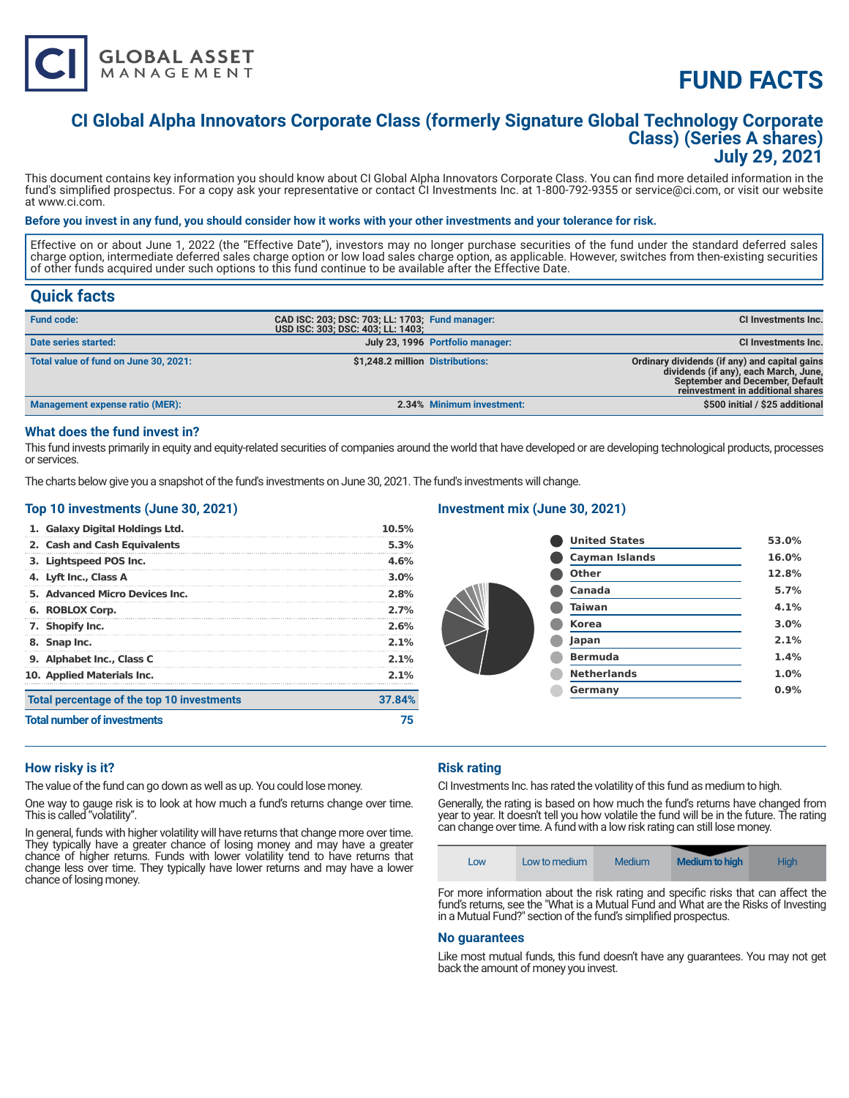

# **CI Global Alpha Innovators Corporate Class (formerly Signature Global Technology Corporate Class) (Series A shares) July 29, 2021**

This document contains key information you should know about CI Global Alpha Innovators Corporate Class. You can find more detailed information in the fund's simplified prospectus. For a copy ask your representative or contact CI Investments Inc. at 1-800-792-9355 or service@ci.com, or visit our website at www.ci.com.

# **Before you invest in any fund, you should consider how it works with your other investments and your tolerance for risk.**

Effective on or about June 1, 2022 (the "Effective Date"), investors may no longer purchase securities of the fund under the standard deferred sales charge option, intermediate deferred sales charge option or low load sales charge option, as applicable. However, switches from then-existing securities of other funds acquired under such options to this fund continue to be available after the Effective Date.

# **Quick facts**

| <b>Fund code:</b>                     | CAD ISC: 203; DSC: 703; LL: 1703; Fund manager:<br>USD ISC: 303: DSC: 403: LL: 1403: |                                  | CI Investments Inc.                                                                                                                                                   |
|---------------------------------------|--------------------------------------------------------------------------------------|----------------------------------|-----------------------------------------------------------------------------------------------------------------------------------------------------------------------|
| Date series started:                  |                                                                                      | July 23, 1996 Portfolio manager: | <b>CI Investments Inc.</b>                                                                                                                                            |
| Total value of fund on June 30, 2021: | \$1,248.2 million Distributions:                                                     |                                  | Ordinary dividends (if any) and capital gains<br>dividends (if any), each March, June,<br><b>September and December, Default</b><br>reinvestment in additional shares |
| Management expense ratio (MER):       |                                                                                      | 2.34% Minimum investment:        | \$500 initial / \$25 additional                                                                                                                                       |

## **What does the fund invest in?**

This fund invests primarily in equity and equity-related securities of companies around the world that have developed or are developing technological products, processes or services.

The charts below give you a snapshot of the fund's investments on June 30, 2021. The fund's investments will change.

# **Top 10 investments (June 30, 2021)**

**GLOBAL ASSET**<br>MANAGEMENT

| <b>Total number of investments</b>         | 75      |
|--------------------------------------------|---------|
| Total percentage of the top 10 investments | 37.84%  |
| 10. Applied Materials Inc.                 | $2.1\%$ |
| 9. Alphabet Inc., Class C                  | 2.1%    |
| 8. Snap Inc.                               | 2.1%    |
| 7. Shopify Inc.                            | 2.6%    |
| 6. ROBLOX Corp.                            | 2.7%    |
| 5. Advanced Micro Devices Inc.             | 2.8%    |
| 4. Lyft Inc., Class A                      | $3.0\%$ |
| 3. Lightspeed POS Inc.                     | 4.6%    |
| 2. Cash and Cash Equivalents               | 5.3%    |
| 1. Galaxy Digital Holdings Ltd.            | 10.5%   |

#### **Investment mix (June 30, 2021)**

| <b>United States</b>  | 53.0% |
|-----------------------|-------|
| <b>Cayman Islands</b> | 16.0% |
| <b>Other</b>          | 12.8% |
| Canada                | 5.7%  |
| <b>Taiwan</b>         | 4.1%  |
| <b>Korea</b>          | 3.0%  |
| Japan                 | 2.1%  |
| <b>Bermuda</b>        | 1.4%  |
| <b>Netherlands</b>    | 1.0%  |
| Germany               | 0.9%  |
|                       |       |

### **How risky is it?**

The value of the fund can go down as well as up. You could lose money.

One way to gauge risk is to look at how much a fund's returns change over time. This is called "volatility".

In general, funds with higher volatility will have returns that change more over time. They typically have a greater chance of losing money and may have a greater chance of higher returns. Funds with lower volatility tend to have returns that change less over time. They typically have lower returns and may have a lower chance of losing money.

# **Risk rating**

CI Investments Inc. has rated the volatility of this fund as medium to high.

Generally, the rating is based on how much the fund's returns have changed from year to year. It doesn't tell you how volatile the fund will be in the future. The rating can change over time. A fund with a low risk rating can still lose money.

| LOW | Low to medium | Medium | <b>Medium to high</b> | <b>High</b> |
|-----|---------------|--------|-----------------------|-------------|
|-----|---------------|--------|-----------------------|-------------|

For more information about the risk rating and specific risks that can affect the fund's returns, see the "What is a Mutual Fund and What are the Risks of Investing in a Mutual Fund?" section of the fund's simplified prospectus.

#### **No guarantees**

Like most mutual funds, this fund doesn't have any guarantees. You may not get back the amount of money you invest.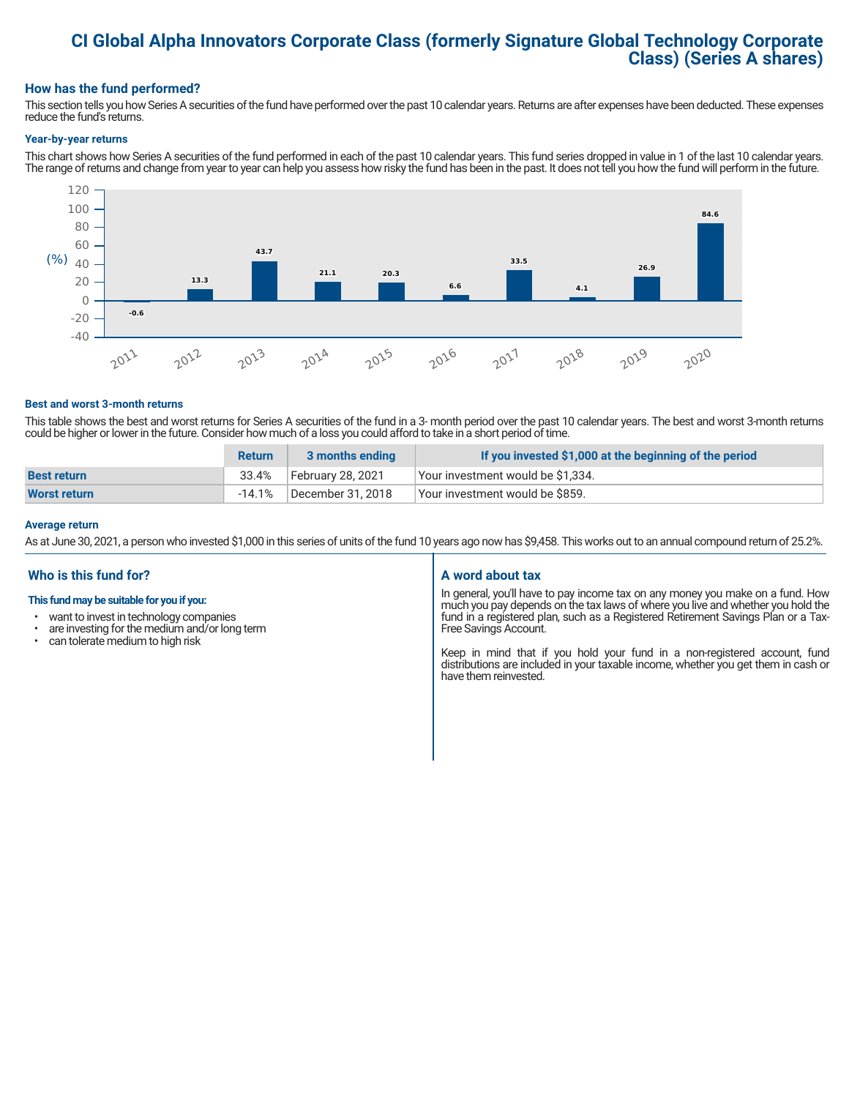# **CI Global Alpha Innovators Corporate Class (formerly Signature Global Technology Corporate Class) (Series A shares)**

# **How has the fund performed?**

This section tells you how Series A securities of the fund have performed over the past 10 calendar years. Returns are after expenses have been deducted. These expenses reduce the fund's returns.

#### **Year-by-year returns**

This chart shows how Series A securities of the fund performed in each of the past 10 calendar years. This fund series dropped in value in 1 of the last 10 calendar years. The range of returns and change from year to year can help you assess how risky the fund has been in the past. It does not tell you how the fund will perform in the future.



#### **Best and worst 3-month returns**

This table shows the best and worst returns for Series A securities of the fund in a 3- month period over the past 10 calendar years. The best and worst 3-month returns could be higher or lower in the future. Consider how much of a loss you could afford to take in a short period of time.

|                     | <b>Return</b> | 3 months ending   | If you invested \$1,000 at the beginning of the period |
|---------------------|---------------|-------------------|--------------------------------------------------------|
| <b>Best return</b>  | 33.4%         | February 28, 2021 | Your investment would be \$1,334.                      |
| <b>Worst return</b> | $-14.1%$      | December 31, 2018 | Your investment would be \$859.                        |

#### **Average return**

As at June 30, 2021, a person who invested \$1,000 in this series of units of the fund 10 years ago now has \$9,458. This works out to an annual compound return of 25.2%.

# **Who is this fund for?**

#### **This fund may be suitable for you if you:**

- want to invest in technology companies
- $\cdot$  are investing for the medium and/or long term<br> $\cdot$  can tolerate medium to bigh risk
- can tolerate medium to high risk

# **A word about tax**

In general, you'll have to pay income tax on any money you make on a fund. How much you pay depends on the tax laws of where you live and whether you hold the fund in a registered plan, such as a Registered Retirement Savings Plan or a Tax-Free Savings Account.

Keep in mind that if you hold your fund in a non-registered account, fund distributions are included in your taxable income, whether you get them in cash or have them reinvested.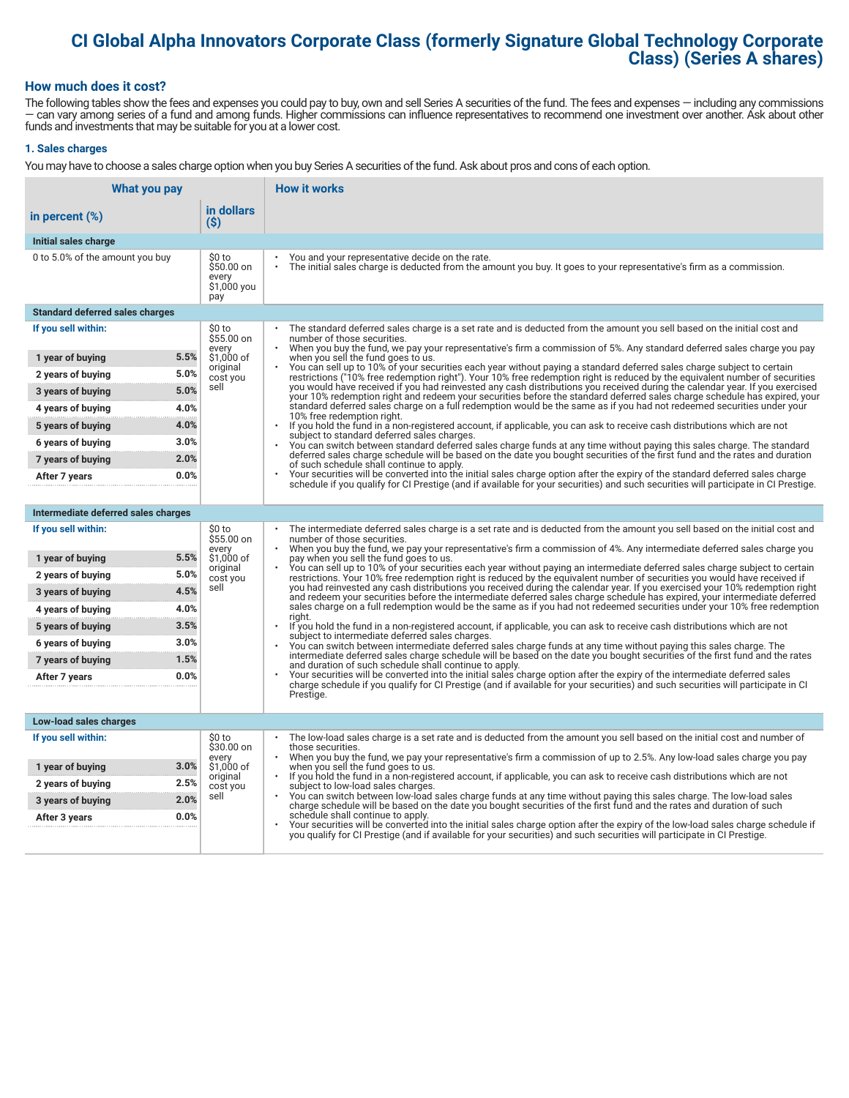# **CI Global Alpha Innovators Corporate Class (formerly Signature Global Technology Corporate Class) (Series A shares)**

# **How much does it cost?**

The following tables show the fees and expenses you could pay to buy, own and sell Series A securities of the fund. The fees and expenses — including any commissions — can vary among series of a fund and among funds. Higher commissions can influence representatives to recommend one investment over another. Ask about other funds and investments that may be suitable for you at a lower cost.

# **1. Sales charges**

You may have to choose a sales charge option when you buy Series A securities of the fund. Ask about pros and cons of each option.

| What you pay                           |                                                     | <b>How it works</b>                                                                                                                                                                                                                                                                   |
|----------------------------------------|-----------------------------------------------------|---------------------------------------------------------------------------------------------------------------------------------------------------------------------------------------------------------------------------------------------------------------------------------------|
| in percent (%)                         | in dollars<br>$($ \$)                               |                                                                                                                                                                                                                                                                                       |
| Initial sales charge                   |                                                     |                                                                                                                                                                                                                                                                                       |
| 0 to 5.0% of the amount you buy        | \$0 to<br>\$50.00 on<br>every<br>\$1,000 you<br>pay | You and your representative decide on the rate.<br>The initial sales charge is deducted from the amount you buy. It goes to your representative's firm as a commission.                                                                                                               |
| <b>Standard deferred sales charges</b> |                                                     |                                                                                                                                                                                                                                                                                       |
| If you sell within:                    | \$0 to<br>\$55.00 on                                | The standard deferred sales charge is a set rate and is deducted from the amount you sell based on the initial cost and<br>number of those securities.                                                                                                                                |
| 1 year of buying                       | every<br>5.5%<br>\$1,000 of                         | When you buy the fund, we pay your representative's firm a commission of 5%. Any standard deferred sales charge you pay<br>when you sell the fund goes to us.                                                                                                                         |
| 2 years of buying                      | original<br>5.0%<br>cost you                        | You can sell up to 10% of your securities each year without paying a standard deferred sales charge subject to certain<br>restrictions ("10% free redemption right"). Your 10% free redemption right is reduced by the equivalent number of securities                                |
| 3 years of buying                      | sell<br>5.0%                                        | you would have received if you had reinvested any cash distributions you received during the calendar year. If you exercised<br>your 10% redemption right and redeem your securities before the standard deferred sales charge schedule has expired, your                             |
| 4 years of buying                      | 4.0%                                                | standard deferred sales charge on a full redemption would be the same as if you had not redeemed securities under your<br>10% free redemption right.                                                                                                                                  |
| 5 years of buying                      | 4.0%                                                | $\ddot{\phantom{0}}$<br>If you hold the fund in a non-registered account, if applicable, you can ask to receive cash distributions which are not                                                                                                                                      |
| 6 years of buying                      | 3.0%                                                | subject to standard deferred sales charges.<br>You can switch between standard deferred sales charge funds at any time without paying this sales charge. The standard                                                                                                                 |
| 7 years of buying                      | 2.0%                                                | deferred sales charge schedule will be based on the date you bought securities of the first fund and the rates and duration<br>of such schedule shall continue to apply.                                                                                                              |
| After 7 years                          | 0.0%                                                | Your securities will be converted into the initial sales charge option after the expiry of the standard deferred sales charge<br>schedule if you qualify for CI Prestige (and if available for your securities) and such securities will participate in CI Prestige.                  |
|                                        |                                                     |                                                                                                                                                                                                                                                                                       |
| Intermediate deferred sales charges    |                                                     |                                                                                                                                                                                                                                                                                       |
| If you sell within:                    | \$0 to<br>\$55.00 on<br>every                       | The intermediate deferred sales charge is a set rate and is deducted from the amount you sell based on the initial cost and<br>number of those securities.<br>When you buy the fund, we pay your representative's firm a commission of 4%. Any intermediate deferred sales charge you |
| 1 year of buying                       | 5.5%<br>\$1,000 of                                  | pay when you sell the fund goes to us.<br>You can sell up to 10% of your securities each year without paying an intermediate deferred sales charge subject to certain                                                                                                                 |
| 2 years of buying                      | original<br>5.0%<br>cost you                        | restrictions. Your 10% free redemption right is reduced by the equivalent number of securities you would have received if                                                                                                                                                             |
| 3 years of buying                      | sell<br>4.5%                                        | you had reinvested any cash distributions you received during the calendar year. If you exercised your 10% redemption right<br>and redeem your securities before the intermediate deferred sales charge schedule has expired, your intermediate deferred                              |
| 4 years of buying                      | 4.0%                                                | sales charge on a full redemption would be the same as if you had not redeemed securities under your 10% free redemption<br>riaht.                                                                                                                                                    |
| 5 years of buying                      | 3.5%                                                | If you hold the fund in a non-registered account, if applicable, you can ask to receive cash distributions which are not<br>subject to intermediate deferred sales charges.                                                                                                           |
| 6 years of buying                      | 3.0%                                                | You can switch between intermediate deferred sales charge funds at any time without paying this sales charge. The<br>intermediate deferred sales charge schedule will be based on the date you bought securities of the first fund and the rates                                      |
| 7 years of buying                      | 1.5%                                                | and duration of such schedule shall continue to apply.                                                                                                                                                                                                                                |
| After 7 years                          | 0.0%                                                | Your securities will be converted into the initial sales charge option after the expiry of the intermediate deferred sales<br>charge schedule if you qualify for CI Prestige (and if available for your securities) and such securities will participate in CI                        |
|                                        |                                                     | Prestige.                                                                                                                                                                                                                                                                             |
| Low-load sales charges                 |                                                     |                                                                                                                                                                                                                                                                                       |
| If you sell within:                    | \$0 to<br>\$30.00 on                                | The low-load sales charge is a set rate and is deducted from the amount you sell based on the initial cost and number of<br>those securities.                                                                                                                                         |
| 1 year of buying                       | every<br>3.0%<br>\$1,000 of                         | When you buy the fund, we pay your representative's firm a commission of up to 2.5%. Any low-load sales charge you pay<br>when you sell the fund goes to us.                                                                                                                          |
| 2 years of buying                      | original<br>2.5%<br>cost you                        | If you hold the fund in a non-registered account, if applicable, you can ask to receive cash distributions which are not<br>subject to low-load sales charges.                                                                                                                        |
| 3 years of buying                      | sell<br>2.0%                                        | You can switch between low-load sales charge funds at any time without paying this sales charge. The low-load sales<br>charge schedule will be based on the date you bought securities of the first fund and the rates and duration of such                                           |
| After 3 years                          | 0.0%                                                | schedule shall continue to apply.<br>Your securities will be converted into the initial sales charge option after the expiry of the low-load sales charge schedule if                                                                                                                 |
|                                        |                                                     | you qualify for CI Prestige (and if available for your securities) and such securities will participate in CI Prestige.                                                                                                                                                               |